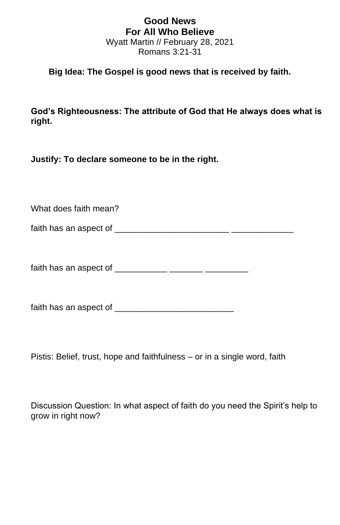## **Good News For All Who Believe** Wyatt Martin // February 28, 2021 Romans 3:21-31

## **Big Idea: The Gospel is good news that is received by faith.**

**God's Righteousness: The attribute of God that He always does what is right.**

**Justify: To declare someone to be in the right.**

What does faith mean? faith has an aspect of  $\frac{1}{2}$  and  $\frac{1}{2}$  and  $\frac{1}{2}$  and  $\frac{1}{2}$  and  $\frac{1}{2}$  and  $\frac{1}{2}$  and  $\frac{1}{2}$  and  $\frac{1}{2}$  and  $\frac{1}{2}$  and  $\frac{1}{2}$  and  $\frac{1}{2}$  and  $\frac{1}{2}$  and  $\frac{1}{2}$  and  $\frac{1}{2}$  and  $\$ 

faith has an aspect of \_\_\_\_\_\_\_\_\_\_\_ \_\_\_\_\_\_\_ \_\_\_\_\_\_\_\_\_

faith has an aspect of \_\_\_\_\_\_\_\_\_\_\_\_\_\_\_\_\_\_\_\_\_\_\_\_\_

Pistis: Belief, trust, hope and faithfulness – or in a single word, faith

Discussion Question: In what aspect of faith do you need the Spirit's help to grow in right now?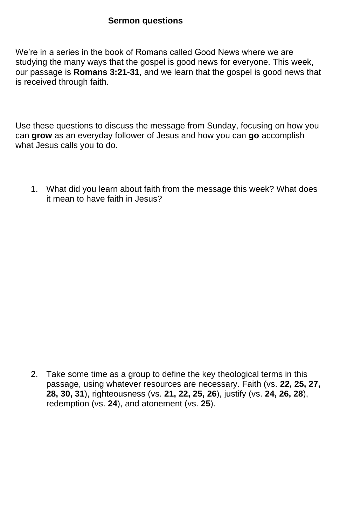## **Sermon questions**

We're in a series in the book of Romans called Good News where we are studying the many ways that the gospel is good news for everyone. This week, our passage is **Romans 3:21-31**, and we learn that the gospel is good news that is received through faith.

Use these questions to discuss the message from Sunday, focusing on how you can **grow** as an everyday follower of Jesus and how you can **go** accomplish what Jesus calls you to do.

1. What did you learn about faith from the message this week? What does it mean to have faith in Jesus?

2. Take some time as a group to define the key theological terms in this passage, using whatever resources are necessary. Faith (vs. **22, 25, 27, 28, 30, 31**), righteousness (vs. **21, 22, 25, 26**), justify (vs. **24, 26, 28**), redemption (vs. **24**), and atonement (vs. **25**).